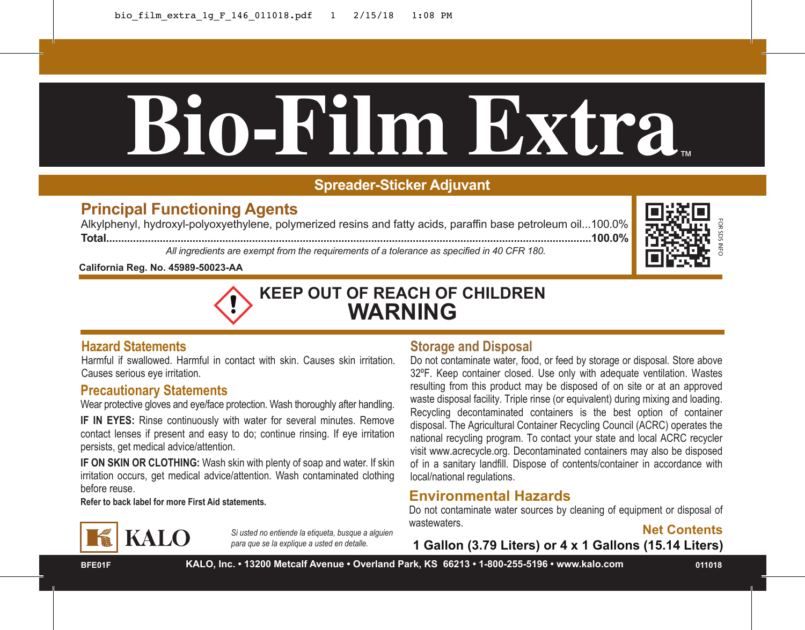# **Bio-Film Extra**™

# **Spreader-Sticker Adjuvant**

# **Principal Functioning Agents**

Alkylphenyl, hydroxyl-polyoxyethylene, polymerized resins and fatty acids, paraffin base petroleum oil...100.0% **Total...................................................................................................................................................................100.0%**

*All ingredients are exempt from the requirements of a tolerance as specified in 40 CFR 180.*



**California Reg. No. 45989-50023-AA**



# **Hazard Statements**

Harmful if swallowed. Harmful in contact with skin. Causes skin irritation. Causes serious eye irritation.

### **Precautionary Statements**

Wear protective gloves and eye/face protection. Wash thoroughly after handling.

**IF IN EYES:** Rinse continuously with water for several minutes. Remove contact lenses if present and easy to do; continue rinsing. If eye irritation persists, get medical advice/attention.

**IF ON SKIN OR CLOTHING:** Wash skin with plenty of soap and water. If skin irritation occurs, get medical advice/attention. Wash contaminated clothing before reuse.

**Refer to back label for more First Aid statements.**

# **KALO**

*Si usted no entiende la etiqueta, busque a alguien para que se la explique a usted en detalle.*

# **Storage and Disposal**

Do not contaminate water, food, or feed by storage or disposal. Store above 32ºF. Keep container closed. Use only with adequate ventilation. Wastes resulting from this product may be disposed of on site or at an approved waste disposal facility. Triple rinse (or equivalent) during mixing and loading. Recycling decontaminated containers is the best option of container disposal. The Agricultural Container Recycling Council (ACRC) operates the national recycling program. To contact your state and local ACRC recycler visit www.acrecycle.org. Decontaminated containers may also be disposed of in a sanitary landfill. Dispose of contents/container in accordance with local/national regulations. **1** acids, paraffin base petroleum oil...100.0%<br> **113 Contained in 40 CFR 180.**<br> **113 Contained in 40 CFR 180.**<br> **113 Contained in 40 CFR 180.**<br> **12 Contained in 40 CFR 180.**<br> **12 Contained in 40 CFR 180.**<br> **12 Contained i** 

# **Environmental Hazards**

Do not contaminate water sources by cleaning of equipment or disposal of wastewaters.

Met Contents<br>1 Gallon (3.79 Liters) or 4 x 1 Gallons (15.14 Liters)

**BFE01F**

**KALO, Inc. • 13200 Metcalf Avenue • Overland Park, KS 66213 • 1-800-255-5196 • www.kalo.com**

**011018**